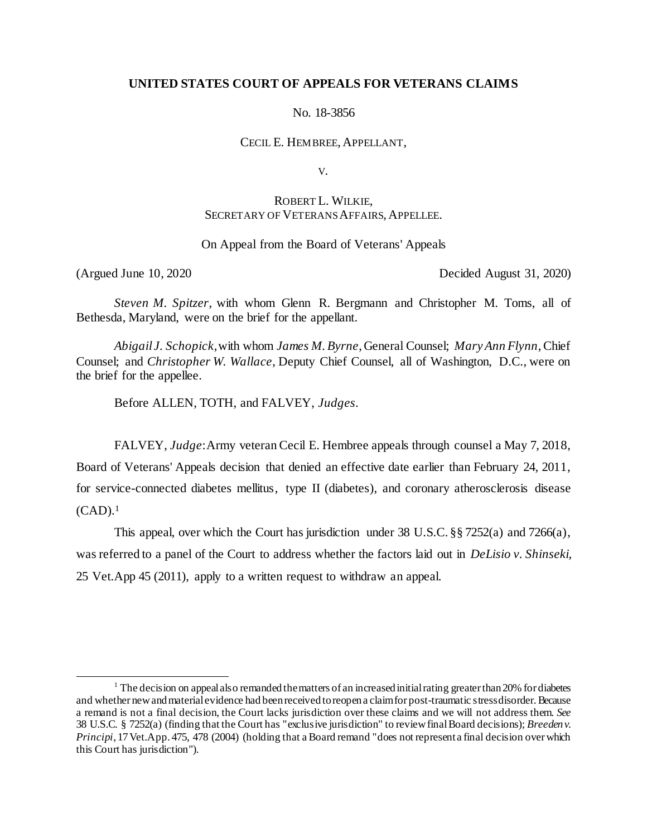### **UNITED STATES COURT OF APPEALS FOR VETERANS CLAIMS**

No. 18-3856

CECIL E. HEMBREE, APPELLANT,

V.

# ROBERT L. WILKIE, SECRETARY OF VETERANS AFFAIRS, APPELLEE.

### On Appeal from the Board of Veterans' Appeals

l

(Argued June 10, 2020 Decided August 31, 2020)

*Steven M. Spitzer*, with whom Glenn R. Bergmann and Christopher M. Toms, all of Bethesda, Maryland, were on the brief for the appellant.

*Abigail J. Schopick*, with whom *James M. Byrne*, General Counsel; *Mary Ann Flynn*,Chief Counsel; and *Christopher W. Wallace*, Deputy Chief Counsel, all of Washington, D.C., were on the brief for the appellee.

Before ALLEN, TOTH, and FALVEY, *Judges*.

FALVEY, *Judge*: Army veteran Cecil E. Hembree appeals through counsel a May 7, 2018, Board of Veterans' Appeals decision that denied an effective date earlier than February 24, 2011, for service-connected diabetes mellitus, type II (diabetes), and coronary atherosclerosis disease  $(CAD).<sup>1</sup>$ 

This appeal, over which the Court has jurisdiction under 38 U.S.C.  $\S$   $\S$   $7252(a)$  and  $7266(a)$ , was referred to a panel of the Court to address whether the factors laid out in *DeLisio v. Shinseki*, 25 Vet.App 45 (2011), apply to a written request to withdraw an appeal.

<sup>&</sup>lt;sup>1</sup> The decision on appeal also remanded the matters of an increased initial rating greater than 20% for diabetes and whether new and material evidence had been received to reopen a claim for post-traumatic stress disorder. Because a remand is not a final decision, the Court lacks jurisdiction over these claims and we will not address them. *See*  38 U.S.C. § 7252(a) (finding that the Court has "exclusive jurisdiction" to review final Board decisions); *Breedenv. Principi*, 17 Vet.App. 475, 478 (2004) (holding that a Board remand "does not represent a final decision over which this Court has jurisdiction").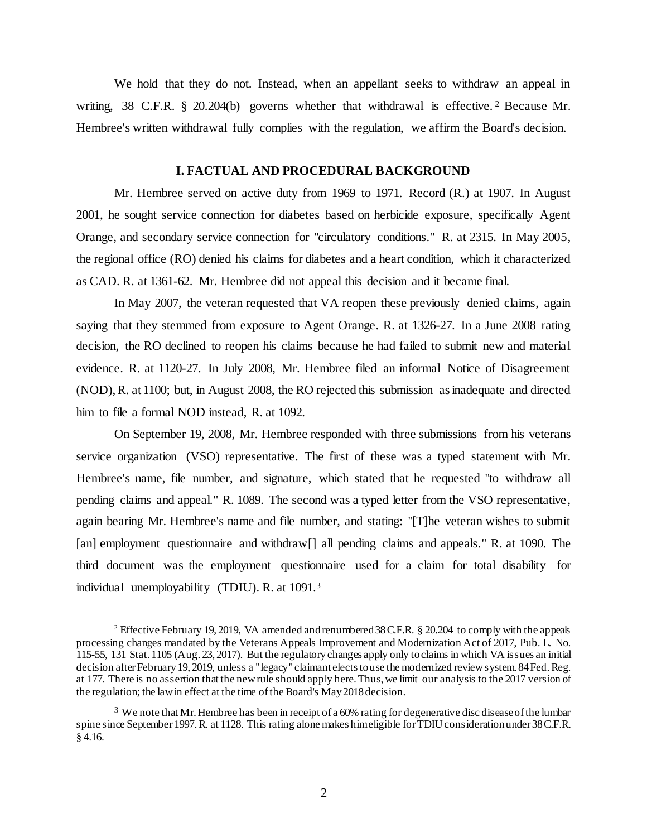We hold that they do not. Instead, when an appellant seeks to withdraw an appeal in writing, 38 C.F.R. § 20.204(b) governs whether that withdrawal is effective. <sup>2</sup> Because Mr. Hembree's written withdrawal fully complies with the regulation, we affirm the Board's decision.

### **I. FACTUAL AND PROCEDURAL BACKGROUND**

Mr. Hembree served on active duty from 1969 to 1971. Record (R.) at 1907. In August 2001, he sought service connection for diabetes based on herbicide exposure, specifically Agent Orange, and secondary service connection for "circulatory conditions." R. at 2315. In May 2005, the regional office (RO) denied his claims for diabetes and a heart condition, which it characterized as CAD. R. at 1361-62. Mr. Hembree did not appeal this decision and it became final.

In May 2007, the veteran requested that VA reopen these previously denied claims, again saying that they stemmed from exposure to Agent Orange. R. at 1326-27. In a June 2008 rating decision, the RO declined to reopen his claims because he had failed to submit new and material evidence. R. at 1120-27. In July 2008, Mr. Hembree filed an informal Notice of Disagreement (NOD), R. at 1100; but, in August 2008, the RO rejected this submission as inadequate and directed him to file a formal NOD instead, R. at 1092.

On September 19, 2008, Mr. Hembree responded with three submissions from his veterans service organization (VSO) representative. The first of these was a typed statement with Mr. Hembree's name, file number, and signature, which stated that he requested "to withdraw all pending claims and appeal." R. 1089. The second was a typed letter from the VSO representative, again bearing Mr. Hembree's name and file number, and stating: "[T]he veteran wishes to submit [an] employment questionnaire and withdraw<sup>[]</sup> all pending claims and appeals." R. at 1090. The third document was the employment questionnaire used for a claim for total disability for individual unemployability (TDIU). R. at 1091.<sup>3</sup>

j

<sup>2</sup> Effective February 19, 2019, VA amended and renumbered 38 C.F.R. § 20.204 to comply with the appeals processing changes mandated by the Veterans Appeals Improvement and Modernization Act of 2017, Pub. L. No. 115-55, 131 Stat. 1105 (Aug. 23, 2017). But the regulatory changes apply only to claims in which VA issues an initial decision after February 19, 2019, unless a "legacy" claimant elects to use the modernized review system. 84 Fed. Reg. at 177. There is no assertion that the new rule should apply here.Thus, we limit our analysis to the 2017 version of the regulation; the law in effect at the time of the Board's May 2018 decision.

 $3 \text{ W}$ e note that Mr. Hembree has been in receipt of a 60% rating for degenerative disc disease of the lumbar spine since September 1997. R. at 1128. This rating alone makes him eligible for TDIU consideration under 38 C.F.R. § 4.16.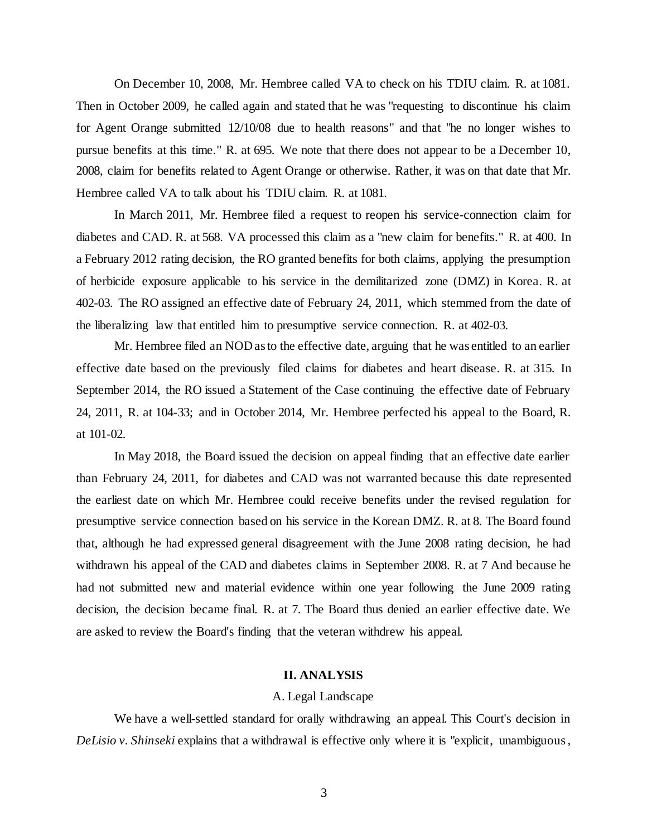On December 10, 2008, Mr. Hembree called VA to check on his TDIU claim. R. at 1081. Then in October 2009, he called again and stated that he was "requesting to discontinue his claim for Agent Orange submitted 12/10/08 due to health reasons" and that "he no longer wishes to pursue benefits at this time." R. at 695. We note that there does not appear to be a December 10, 2008, claim for benefits related to Agent Orange or otherwise. Rather, it was on that date that Mr. Hembree called VA to talk about his TDIU claim. R. at 1081.

In March 2011, Mr. Hembree filed a request to reopen his service-connection claim for diabetes and CAD. R. at 568. VA processed this claim as a "new claim for benefits." R. at 400. In a February 2012 rating decision, the RO granted benefits for both claims, applying the presumption of herbicide exposure applicable to his service in the demilitarized zone (DMZ) in Korea. R. at 402-03. The RO assigned an effective date of February 24, 2011, which stemmed from the date of the liberalizing law that entitled him to presumptive service connection. R. at 402-03.

Mr. Hembree filed an NOD as to the effective date, arguing that he was entitled to an earlier effective date based on the previously filed claims for diabetes and heart disease. R. at 315. In September 2014, the RO issued a Statement of the Case continuing the effective date of February 24, 2011, R. at 104-33; and in October 2014, Mr. Hembree perfected his appeal to the Board, R. at 101-02.

In May 2018, the Board issued the decision on appeal finding that an effective date earlier than February 24, 2011, for diabetes and CAD was not warranted because this date represented the earliest date on which Mr. Hembree could receive benefits under the revised regulation for presumptive service connection based on his service in the Korean DMZ. R. at 8. The Board found that, although he had expressed general disagreement with the June 2008 rating decision, he had withdrawn his appeal of the CAD and diabetes claims in September 2008. R. at 7 And because he had not submitted new and material evidence within one year following the June 2009 rating decision, the decision became final. R. at 7. The Board thus denied an earlier effective date. We are asked to review the Board's finding that the veteran withdrew his appeal.

#### **II. ANALYSIS**

### A. Legal Landscape

We have a well-settled standard for orally withdrawing an appeal. This Court's decision in *DeLisio v. Shinseki* explains that a withdrawal is effective only where it is "explicit, unambiguous ,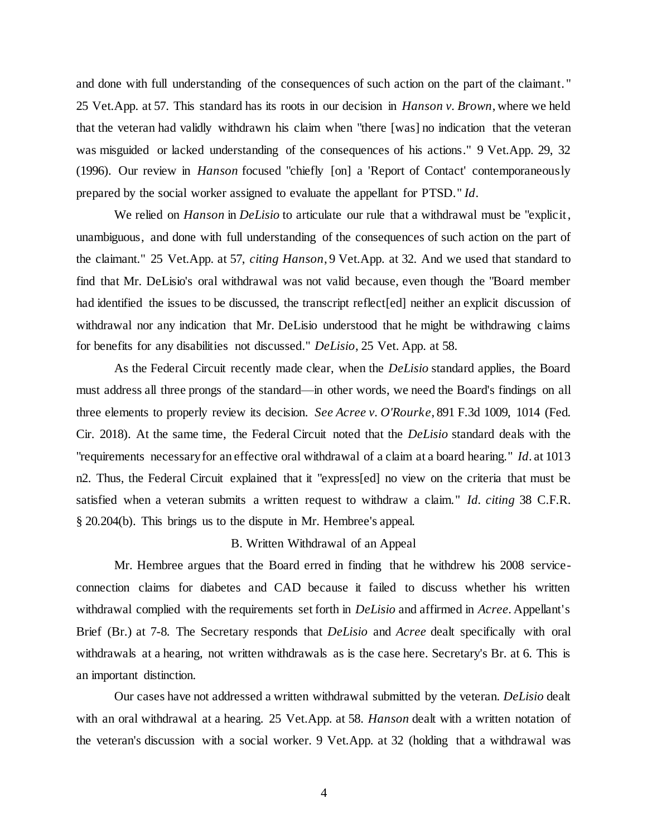and done with full understanding of the consequences of such action on the part of the claimant. " 25 Vet.App. at 57. This standard has its roots in our decision in *Hanson v. Brown*, where we held that the veteran had validly withdrawn his claim when "there [was] no indication that the veteran was misguided or lacked understanding of the consequences of his actions." 9 Vet.App. 29, 32 (1996). Our review in *Hanson* focused "chiefly [on] a 'Report of Contact' contemporaneously prepared by the social worker assigned to evaluate the appellant for PTSD." *Id*.

We relied on *Hanson* in *DeLisio* to articulate our rule that a withdrawal must be "explicit, unambiguous, and done with full understanding of the consequences of such action on the part of the claimant." 25 Vet.App. at 57, *citing Hanson*, 9 Vet.App. at 32. And we used that standard to find that Mr. DeLisio's oral withdrawal was not valid because, even though the "Board member had identified the issues to be discussed, the transcript reflect [ed] neither an explicit discussion of withdrawal nor any indication that Mr. DeLisio understood that he might be withdrawing claims for benefits for any disabilities not discussed." *DeLisio*, 25 Vet. App. at 58.

As the Federal Circuit recently made clear, when the *DeLisio* standard applies, the Board must address all three prongs of the standard—in other words, we need the Board's findings on all three elements to properly review its decision. *See Acree v. O'Rourke*, 891 F.3d 1009, 1014 (Fed. Cir. 2018). At the same time, the Federal Circuit noted that the *DeLisio* standard deals with the "requirements necessary for an effective oral withdrawal of a claim at a board hearing." *Id*. at 1013 n2. Thus, the Federal Circuit explained that it "express[ed] no view on the criteria that must be satisfied when a veteran submits a written request to withdraw a claim." *Id. citing* 38 C.F.R. § 20.204(b). This brings us to the dispute in Mr. Hembree's appeal.

## B. Written Withdrawal of an Appeal

Mr. Hembree argues that the Board erred in finding that he withdrew his 2008 serviceconnection claims for diabetes and CAD because it failed to discuss whether his written withdrawal complied with the requirements set forth in *DeLisio* and affirmed in *Acree.* Appellant's Brief (Br.) at 7-8. The Secretary responds that *DeLisio* and *Acree* dealt specifically with oral withdrawals at a hearing, not written withdrawals as is the case here. Secretary's Br. at 6. This is an important distinction.

Our cases have not addressed a written withdrawal submitted by the veteran. *DeLisio* dealt with an oral withdrawal at a hearing. 25 Vet.App. at 58. *Hanson* dealt with a written notation of the veteran's discussion with a social worker. 9 Vet.App. at 32 (holding that a withdrawal was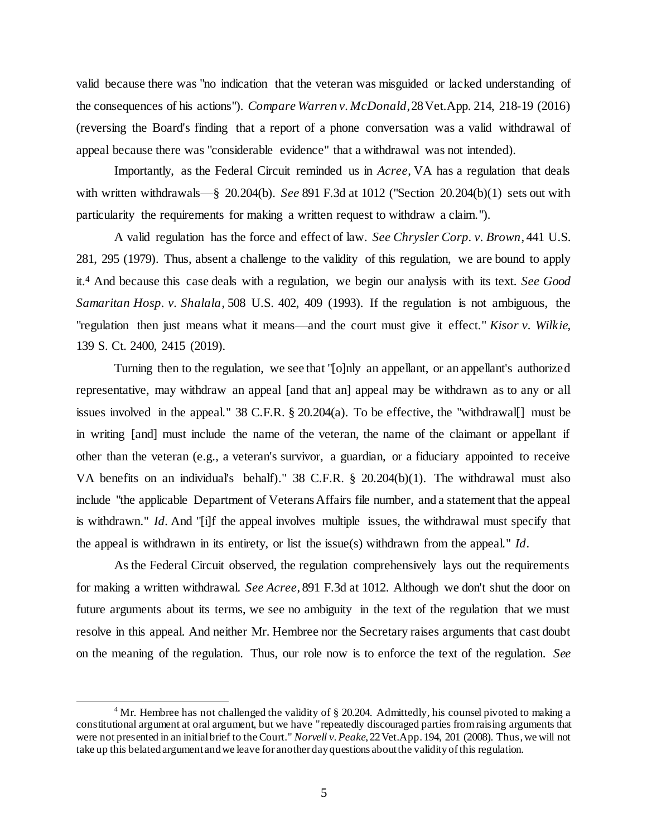valid because there was "no indication that the veteran was misguided or lacked understanding of the consequences of his actions"). *Compare Warren v. McDonald*, 28 Vet.App. 214, 218-19 (2016) (reversing the Board's finding that a report of a phone conversation was a valid withdrawal of appeal because there was "considerable evidence" that a withdrawal was not intended).

Importantly, as the Federal Circuit reminded us in *Acree*, VA has a regulation that deals with written withdrawals—§ 20.204(b). *See* 891 F.3d at 1012 ("Section 20.204(b)(1) sets out with particularity the requirements for making a written request to withdraw a claim.").

A valid regulation has the force and effect of law. *See Chrysler Corp. v. Brown*, 441 U.S. 281, 295 (1979). Thus, absent a challenge to the validity of this regulation, we are bound to apply it.<sup>4</sup> And because this case deals with a regulation, we begin our analysis with its text. *See Good Samaritan Hosp. v. Shalala*, 508 U.S. 402, 409 (1993). If the regulation is not ambiguous, the "regulation then just means what it means—and the court must give it effect." *Kisor v. Wilkie,*  139 S. Ct. 2400, 2415 (2019).

Turning then to the regulation, we see that "[o]nly an appellant, or an appellant's authorized representative, may withdraw an appeal [and that an] appeal may be withdrawn as to any or all issues involved in the appeal." 38 C.F.R.  $\S 20.204(a)$ . To be effective, the "withdrawall] must be in writing [and] must include the name of the veteran, the name of the claimant or appellant if other than the veteran (e.g., a veteran's survivor, a guardian, or a fiduciary appointed to receive VA benefits on an individual's behalf)." 38 C.F.R. § 20.204(b)(1). The withdrawal must also include "the applicable Department of Veterans Affairs file number, and a statement that the appeal is withdrawn." *Id.* And "[i]f the appeal involves multiple issues, the withdrawal must specify that the appeal is withdrawn in its entirety, or list the issue(s) withdrawn from the appeal." *Id*.

As the Federal Circuit observed, the regulation comprehensively lays out the requirements for making a written withdrawal. *See Acree*, 891 F.3d at 1012. Although we don't shut the door on future arguments about its terms, we see no ambiguity in the text of the regulation that we must resolve in this appeal. And neither Mr. Hembree nor the Secretary raises arguments that cast doubt on the meaning of the regulation. Thus, our role now is to enforce the text of the regulation. *See* 

j

<sup>&</sup>lt;sup>4</sup> Mr. Hembree has not challenged the validity of § 20.204. Admittedly, his counsel pivoted to making a constitutional argument at oral argument, but we have "repeatedly discouraged parties from raising arguments that were not presented in an initial brief to the Court." *Norvell v. Peake*, 22 Vet.App. 194, 201 (2008). Thus, we will not take up this belated argument and we leave for another day questions about the validity of this regulation.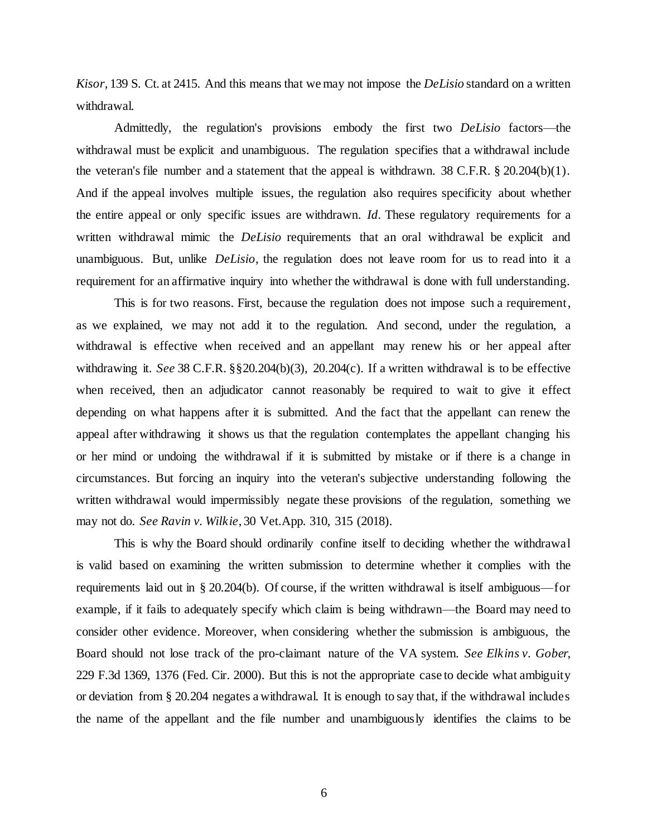*Kisor,* 139 S. Ct. at 2415. And this means that we may not impose the *DeLisio* standard on a written withdrawal.

Admittedly, the regulation's provisions embody the first two *DeLisio* factors—the withdrawal must be explicit and unambiguous. The regulation specifies that a withdrawal include the veteran's file number and a statement that the appeal is withdrawn. 38 C.F.R. § 20.204(b)(1). And if the appeal involves multiple issues, the regulation also requires specificity about whether the entire appeal or only specific issues are withdrawn. *Id.* These regulatory requirements for a written withdrawal mimic the *DeLisio* requirements that an oral withdrawal be explicit and unambiguous. But, unlike *DeLisio*, the regulation does not leave room for us to read into it a requirement for an affirmative inquiry into whether the withdrawal is done with full understanding.

This is for two reasons. First, because the regulation does not impose such a requirement, as we explained, we may not add it to the regulation. And second, under the regulation, a withdrawal is effective when received and an appellant may renew his or her appeal after withdrawing it. *See* 38 C.F.R. §§20.204(b)(3), 20.204(c). If a written withdrawal is to be effective when received, then an adjudicator cannot reasonably be required to wait to give it effect depending on what happens after it is submitted. And the fact that the appellant can renew the appeal after withdrawing it shows us that the regulation contemplates the appellant changing his or her mind or undoing the withdrawal if it is submitted by mistake or if there is a change in circumstances. But forcing an inquiry into the veteran's subjective understanding following the written withdrawal would impermissibly negate these provisions of the regulation, something we may not do. *See Ravin v. Wilkie*, 30 Vet.App. 310, 315 (2018).

This is why the Board should ordinarily confine itself to deciding whether the withdrawal is valid based on examining the written submission to determine whether it complies with the requirements laid out in § 20.204(b). Of course, if the written withdrawal is itself ambiguous—for example, if it fails to adequately specify which claim is being withdrawn—the Board may need to consider other evidence. Moreover, when considering whether the submission is ambiguous, the Board should not lose track of the pro-claimant nature of the VA system. *See Elkins v. Gober,* 229 F.3d 1369, 1376 (Fed. Cir. 2000). But this is not the appropriate case to decide what ambiguity or deviation from § 20.204 negates a withdrawal. It is enough to say that, if the withdrawal includes the name of the appellant and the file number and unambiguously identifies the claims to be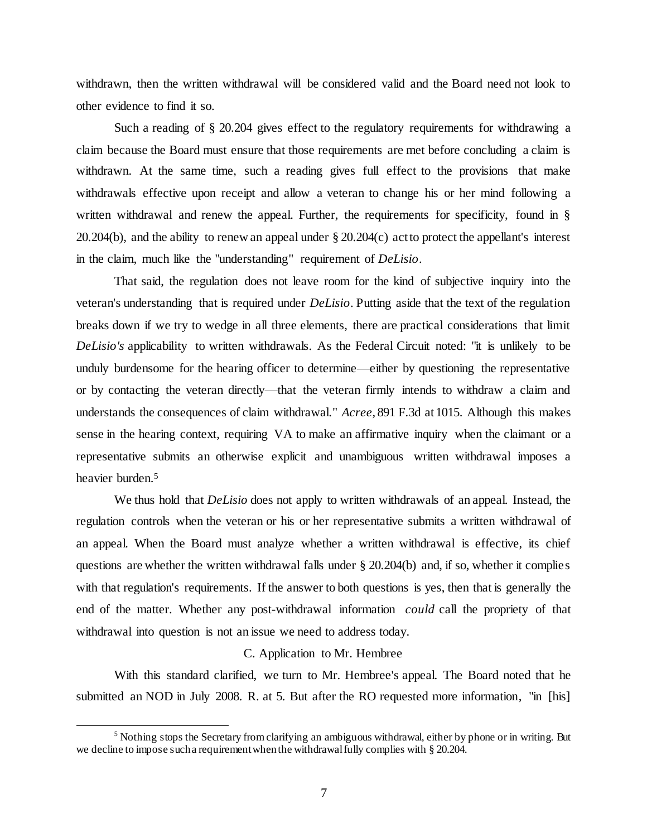withdrawn, then the written withdrawal will be considered valid and the Board need not look to other evidence to find it so.

Such a reading of § 20.204 gives effect to the regulatory requirements for withdrawing a claim because the Board must ensure that those requirements are met before concluding a claim is withdrawn. At the same time, such a reading gives full effect to the provisions that make withdrawals effective upon receipt and allow a veteran to change his or her mind following a written withdrawal and renew the appeal. Further, the requirements for specificity, found in § 20.204(b), and the ability to renew an appeal under  $\S 20.204(c)$  act to protect the appellant's interest in the claim, much like the "understanding" requirement of *DeLisio*.

That said, the regulation does not leave room for the kind of subjective inquiry into the veteran's understanding that is required under *DeLisio*. Putting aside that the text of the regulation breaks down if we try to wedge in all three elements, there are practical considerations that limit *DeLisio's* applicability to written withdrawals. As the Federal Circuit noted: "it is unlikely to be unduly burdensome for the hearing officer to determine—either by questioning the representative or by contacting the veteran directly—that the veteran firmly intends to withdraw a claim and understands the consequences of claim withdrawal." *Acree*, 891 F.3d at 1015. Although this makes sense in the hearing context, requiring VA to make an affirmative inquiry when the claimant or a representative submits an otherwise explicit and unambiguous written withdrawal imposes a heavier burden.<sup>5</sup>

We thus hold that *DeLisio* does not apply to written withdrawals of an appeal. Instead, the regulation controls when the veteran or his or her representative submits a written withdrawal of an appeal. When the Board must analyze whether a written withdrawal is effective, its chief questions are whether the written withdrawal falls under § 20.204(b) and, if so, whether it complies with that regulation's requirements. If the answer to both questions is yes, then that is generally the end of the matter. Whether any post-withdrawal information *could* call the propriety of that withdrawal into question is not an issue we need to address today.

### C. Application to Mr. Hembree

With this standard clarified, we turn to Mr. Hembree's appeal. The Board noted that he submitted an NOD in July 2008. R. at 5. But after the RO requested more information, "in [his]

j

 $<sup>5</sup>$  Nothing stops the Secretary from clarifying an ambiguous withdrawal, either by phone or in writing. But</sup> we decline to impose such a requirement when the withdrawal fully complies with § 20.204.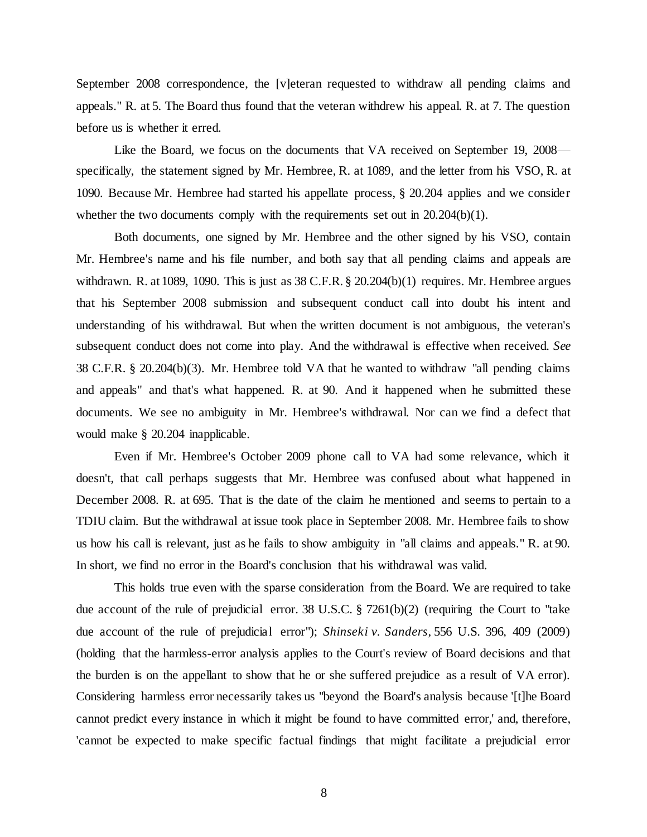September 2008 correspondence, the [v]eteran requested to withdraw all pending claims and appeals." R. at 5. The Board thus found that the veteran withdrew his appeal. R. at 7. The question before us is whether it erred.

Like the Board, we focus on the documents that VA received on September 19, 2008 specifically, the statement signed by Mr. Hembree, R. at 1089, and the letter from his VSO, R. at 1090. Because Mr. Hembree had started his appellate process, § 20.204 applies and we consider whether the two documents comply with the requirements set out in  $20.204(b)(1)$ .

Both documents, one signed by Mr. Hembree and the other signed by his VSO, contain Mr. Hembree's name and his file number, and both say that all pending claims and appeals are withdrawn. R. at 1089, 1090. This is just as 38 C.F.R. § 20.204(b)(1) requires. Mr. Hembree argues that his September 2008 submission and subsequent conduct call into doubt his intent and understanding of his withdrawal. But when the written document is not ambiguous, the veteran's subsequent conduct does not come into play. And the withdrawal is effective when received. *See*  38 C.F.R. § 20.204(b)(3). Mr. Hembree told VA that he wanted to withdraw "all pending claims and appeals" and that's what happened. R. at 90. And it happened when he submitted these documents. We see no ambiguity in Mr. Hembree's withdrawal. Nor can we find a defect that would make § 20.204 inapplicable.

Even if Mr. Hembree's October 2009 phone call to VA had some relevance, which it doesn't, that call perhaps suggests that Mr. Hembree was confused about what happened in December 2008. R. at 695. That is the date of the claim he mentioned and seems to pertain to a TDIU claim. But the withdrawal at issue took place in September 2008. Mr. Hembree fails to show us how his call is relevant, just as he fails to show ambiguity in "all claims and appeals." R. at 90. In short, we find no error in the Board's conclusion that his withdrawal was valid.

This holds true even with the sparse consideration from the Board. We are required to take due account of the rule of prejudicial error. 38 U.S.C. § 7261(b)(2) (requiring the Court to "take due account of the rule of prejudicial error"); *Shinseki v. Sanders*, 556 U.S. 396, 409 (2009) (holding that the harmless-error analysis applies to the Court's review of Board decisions and that the burden is on the appellant to show that he or she suffered prejudice as a result of VA error). Considering harmless error necessarily takes us "beyond the Board's analysis because '[t]he Board cannot predict every instance in which it might be found to have committed error,' and, therefore, 'cannot be expected to make specific factual findings that might facilitate a prejudicial error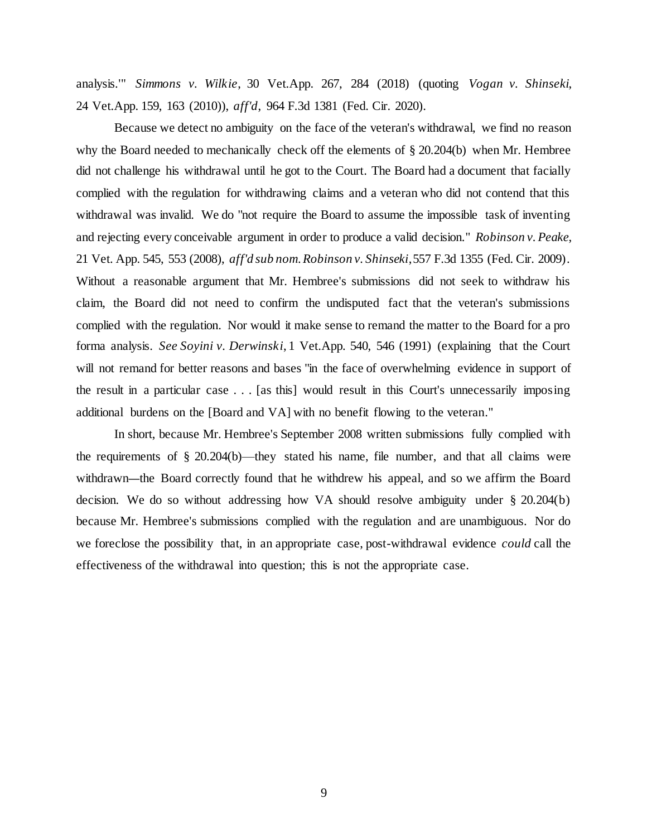analysis.'" *Simmons v. Wilkie*, 30 Vet.App. 267, 284 (2018) (quoting *Vogan v. Shinseki*, 24 Vet.App. 159, 163 (2010)), *aff'd*, 964 F.3d 1381 (Fed. Cir. 2020).

Because we detect no ambiguity on the face of the veteran's withdrawal, we find no reason why the Board needed to mechanically check off the elements of § 20.204(b) when Mr. Hembree did not challenge his withdrawal until he got to the Court. The Board had a document that facially complied with the regulation for withdrawing claims and a veteran who did not contend that this withdrawal was invalid. We do "not require the Board to assume the impossible task of inventing and rejecting every conceivable argument in order to produce a valid decision." *Robinson v. Peake*, 21 Vet. App. 545, 553 (2008), *aff'd sub nom*.*Robinson v. Shinseki*, 557 F.3d 1355 (Fed. Cir. 2009). Without a reasonable argument that Mr. Hembree's submissions did not seek to withdraw his claim, the Board did not need to confirm the undisputed fact that the veteran's submissions complied with the regulation. Nor would it make sense to remand the matter to the Board for a pro forma analysis. *See Soyini v. Derwinski*, 1 Vet.App. 540, 546 (1991) (explaining that the Court will not remand for better reasons and bases "in the face of overwhelming evidence in support of the result in a particular case . . . [as this] would result in this Court's unnecessarily imposing additional burdens on the [Board and VA] with no benefit flowing to the veteran."

In short, because Mr. Hembree's September 2008 written submissions fully complied with the requirements of  $\S$  20.204(b)—they stated his name, file number, and that all claims were withdrawn—the Board correctly found that he withdrew his appeal, and so we affirm the Board decision. We do so without addressing how VA should resolve ambiguity under § 20.204(b) because Mr. Hembree's submissions complied with the regulation and are unambiguous. Nor do we foreclose the possibility that, in an appropriate case, post-withdrawal evidence *could* call the effectiveness of the withdrawal into question; this is not the appropriate case.